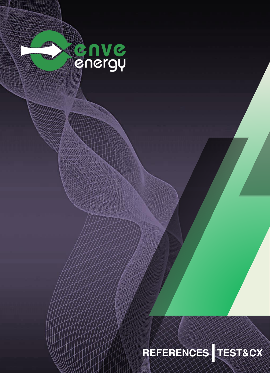

## **REFERENCES TEST&CX**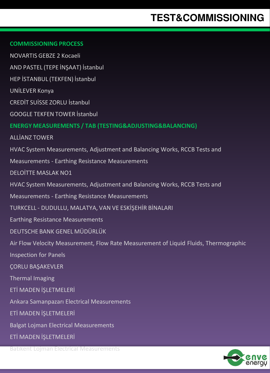#### **COMMISSIONING PROCESS**

NOVARTIS GEBZE 2 Kocaeli AND PASTEL (TEPE İNŞAAT) İstanbul HEP İSTANBUL (TEKFEN) İstanbul UNİLEVER Konya CREDİT SUİSSE ZORLU İstanbul GOOGLE TEKFEN TOWER İstanbul **ENERGY MEASUREMENTS / TAB (TESTING&ADJUSTING&BALANCING)** ALLİANZ TOWER HVAC System Measurements, Adjustment and Balancing Works, RCCB Tests and Measurements - Earthing Resistance Measurements DELOİTTE MASLAK NO1 HVAC System Measurements, Adjustment and Balancing Works, RCCB Tests and Measurements - Earthing Resistance Measurements TURKCELL - DUDULLU, MALATYA, VAN VE ESKİŞEHİR BİNALARI Earthing Resistance Measurements DEUTSCHE BANK GENEL MÜDÜRLÜK Air Flow Velocity Measurement, Flow Rate Measurement of Liquid Fluids, Thermographic Inspection for Panels ÇORLU BAŞAKEVLER Thermal Imaging ETİ MADEN İŞLETMELERİ Ankara Samanpazarı Electrical Measurements ETİ MADEN İŞLETMELERİ Balgat Lojman Electrical Measurements ETİ MADEN İŞLETMELERİ



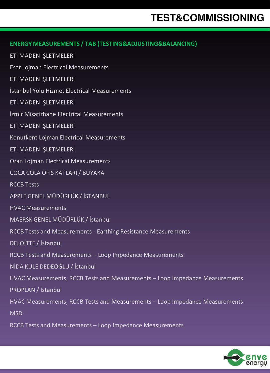| <b>ENERGY MEASUREMENTS / TAB (TESTING&amp;ADJUSTING&amp;BALANCING)</b>       |
|------------------------------------------------------------------------------|
| ETİ MADEN İŞLETMELERİ                                                        |
| <b>Esat Lojman Electrical Measurements</b>                                   |
| ETİ MADEN İŞLETMELERİ                                                        |
| İstanbul Yolu Hizmet Electrical Measurements                                 |
| ETİ MADEN İŞLETMELERİ                                                        |
| İzmir Misafirhane Electrical Measurements                                    |
| ETİ MADEN İŞLETMELERİ                                                        |
| Konutkent Lojman Electrical Measurements                                     |
| ETİ MADEN İSLETMELERİ                                                        |
| Oran Lojman Electrical Measurements                                          |
| COCA COLA OFÍS KATLARI / BUYAKA                                              |
| <b>RCCB Tests</b>                                                            |
| APPLE GENEL MÜDÜRLÜK / İSTANBUL                                              |
| <b>HVAC Measurements</b>                                                     |
| MAERSK GENEL MÜDÜRLÜK / İstanbul                                             |
| RCCB Tests and Measurements - Earthing Resistance Measurements               |
| DELOİTTE / İstanbul                                                          |
| RCCB Tests and Measurements - Loop Impedance Measurements                    |
| NİDA KULE DEDEOĞLU / İstanbul                                                |
| HVAC Measurements, RCCB Tests and Measurements - Loop Impedance Measurements |
| <b>PROPLAN / İstanbul</b>                                                    |
| HVAC Measurements, RCCB Tests and Measurements - Loop Impedance Measurements |
| <b>MSD</b>                                                                   |
|                                                                              |

RCCB Tests and Measurements – Loop Impedance Measurements

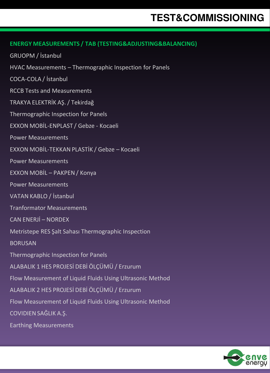#### **ENERGY MEASUREMENTS / TAB (TESTING&ADJUSTING&BALANCING)**

GRUOPM / İstanbul

HVAC Measurements – Thermographic Inspection for Panels

COCA-COLA / İstanbul

RCCB Tests and Measurements

TRAKYA ELEKTRİK AŞ. / Tekirdağ

Thermographic Inspection for Panels

EXXON MOBİL-ENPLAST / Gebze - Kocaeli

Power Measurements

EXXON MOBİL-TEKKAN PLASTİK / Gebze – Kocaeli

Power Measurements

EXXON MOBİL – PAKPEN / Konya

Power Measurements

VATAN KABLO / İstanbul

Tranformator Measurements

CAN ENERJİ – NORDEX

Metristepe RES Şalt Sahası Thermographic Inspection

**BORUSAN** 

Thermographic Inspection for Panels

ALABALIK 1 HES PROJESİ DEBİ ÖLÇÜMÜ / Erzurum

Flow Measurement of Liquid Fluids Using Ultrasonic Method

ALABALIK 2 HES PROJESİ DEBİ ÖLÇÜMÜ / Erzurum

Flow Measurement of Liquid Fluids Using Ultrasonic Method

COVIDIEN SAĞLIK A.Ş.

Earthing Measurements

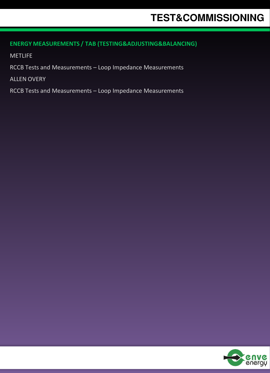#### **ENERGY MEASUREMENTS / TAB (TESTING&ADJUSTING&BALANCING)**

METLIFE

RCCB Tests and Measurements – Loop Impedance Measurements

ALLEN OVERY

RCCB Tests and Measurements – Loop Impedance Measurements